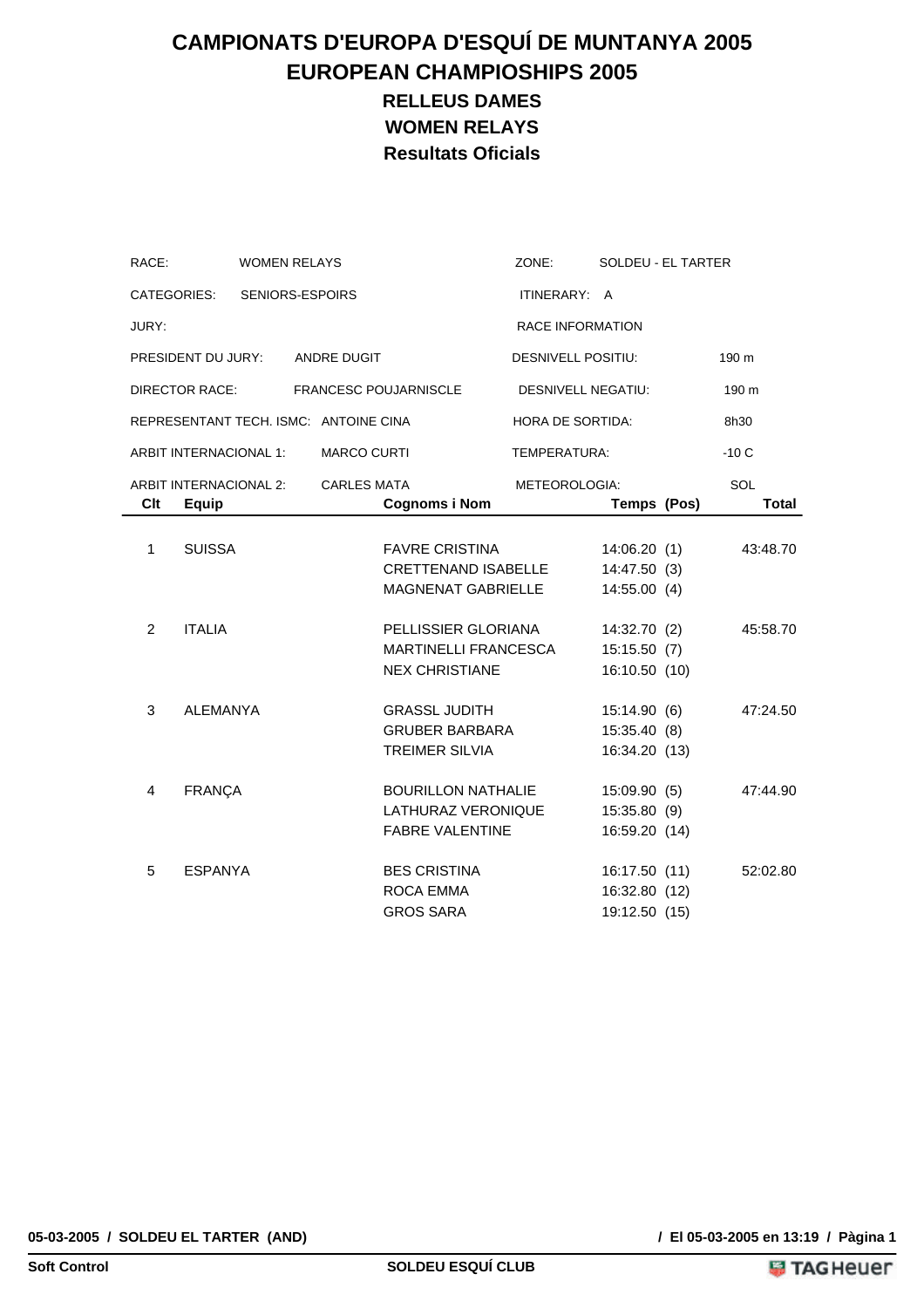# **CAMPIONATS D'EUROPA D'ESQUÍ DE MUNTANYA 2005 EUROPEAN CHAMPIOSHIPS 2005 RELLEUS DAMES WOMEN RELAYS Resultats Oficials**

| RACE:          |                        | <b>WOMEN RELAYS</b>    |                                       |                              | ZONE:                     | SOLDEU - EL TARTER |          |
|----------------|------------------------|------------------------|---------------------------------------|------------------------------|---------------------------|--------------------|----------|
|                | CATEGORIES:            | <b>SENIORS-ESPOIRS</b> |                                       |                              | ITINERARY: A              |                    |          |
| JURY:          |                        |                        |                                       |                              | <b>RACE INFORMATION</b>   |                    |          |
|                | PRESIDENT DU JURY:     |                        | ANDRE DUGIT                           |                              | <b>DESNIVELL POSITIU:</b> |                    | 190 m    |
|                | <b>DIRECTOR RACE:</b>  |                        |                                       | <b>FRANCESC POUJARNISCLE</b> | <b>DESNIVELL NEGATIU:</b> |                    | 190 m    |
|                |                        |                        | REPRESENTANT TECH. ISMC: ANTOINE CINA |                              | HORA DE SORTIDA:          |                    | 8h30     |
|                | ARBIT INTERNACIONAL 1: |                        | <b>MARCO CURTI</b>                    |                              | TEMPERATURA:              |                    | $-10C$   |
|                | ARBIT INTERNACIONAL 2: |                        | <b>CARLES MATA</b>                    |                              | METEOROLOGIA:             |                    | SOL      |
| Clt            | <b>Equip</b>           |                        |                                       | <b>Cognoms i Nom</b>         |                           | Temps (Pos)        | Total    |
|                |                        |                        |                                       |                              |                           |                    |          |
| 1              | <b>SUISSA</b>          |                        |                                       | <b>FAVRE CRISTINA</b>        |                           | 14:06.20(1)        | 43:48.70 |
|                |                        |                        |                                       | <b>CRETTENAND ISABELLE</b>   |                           | 14:47.50 (3)       |          |
|                |                        |                        |                                       | MAGNENAT GABRIELLE           |                           | 14:55.00(4)        |          |
| $\overline{2}$ | <b>ITALIA</b>          |                        |                                       | PELLISSIER GLORIANA          |                           | 14:32.70 (2)       | 45:58.70 |
|                |                        |                        |                                       | <b>MARTINELLI FRANCESCA</b>  |                           | 15:15.50(7)        |          |
|                |                        |                        |                                       | <b>NEX CHRISTIANE</b>        |                           | 16:10.50 (10)      |          |
| 3              | <b>ALEMANYA</b>        |                        |                                       | <b>GRASSL JUDITH</b>         |                           | 15:14.90(6)        | 47:24.50 |
|                |                        |                        |                                       | <b>GRUBER BARBARA</b>        |                           | 15:35.40 (8)       |          |
|                |                        |                        |                                       | <b>TREIMER SILVIA</b>        |                           | 16:34.20 (13)      |          |
| 4              | <b>FRANÇA</b>          |                        |                                       | <b>BOURILLON NATHALIE</b>    |                           | 15:09.90(5)        | 47:44.90 |
|                |                        |                        |                                       | LATHURAZ VERONIQUE           |                           | 15:35.80 (9)       |          |
|                |                        |                        |                                       | <b>FABRE VALENTINE</b>       |                           | 16:59.20 (14)      |          |
| 5              | <b>ESPANYA</b>         |                        |                                       | <b>BES CRISTINA</b>          |                           | 16:17.50 (11)      | 52:02.80 |
|                |                        |                        |                                       | <b>ROCA EMMA</b>             |                           | 16:32.80 (12)      |          |
|                |                        |                        |                                       | <b>GROS SARA</b>             |                           | 19:12.50 (15)      |          |

**05-03-2005 / SOLDEU EL TARTER (AND) / El 05-03-2005 en 13:19 / Pàgina 1**

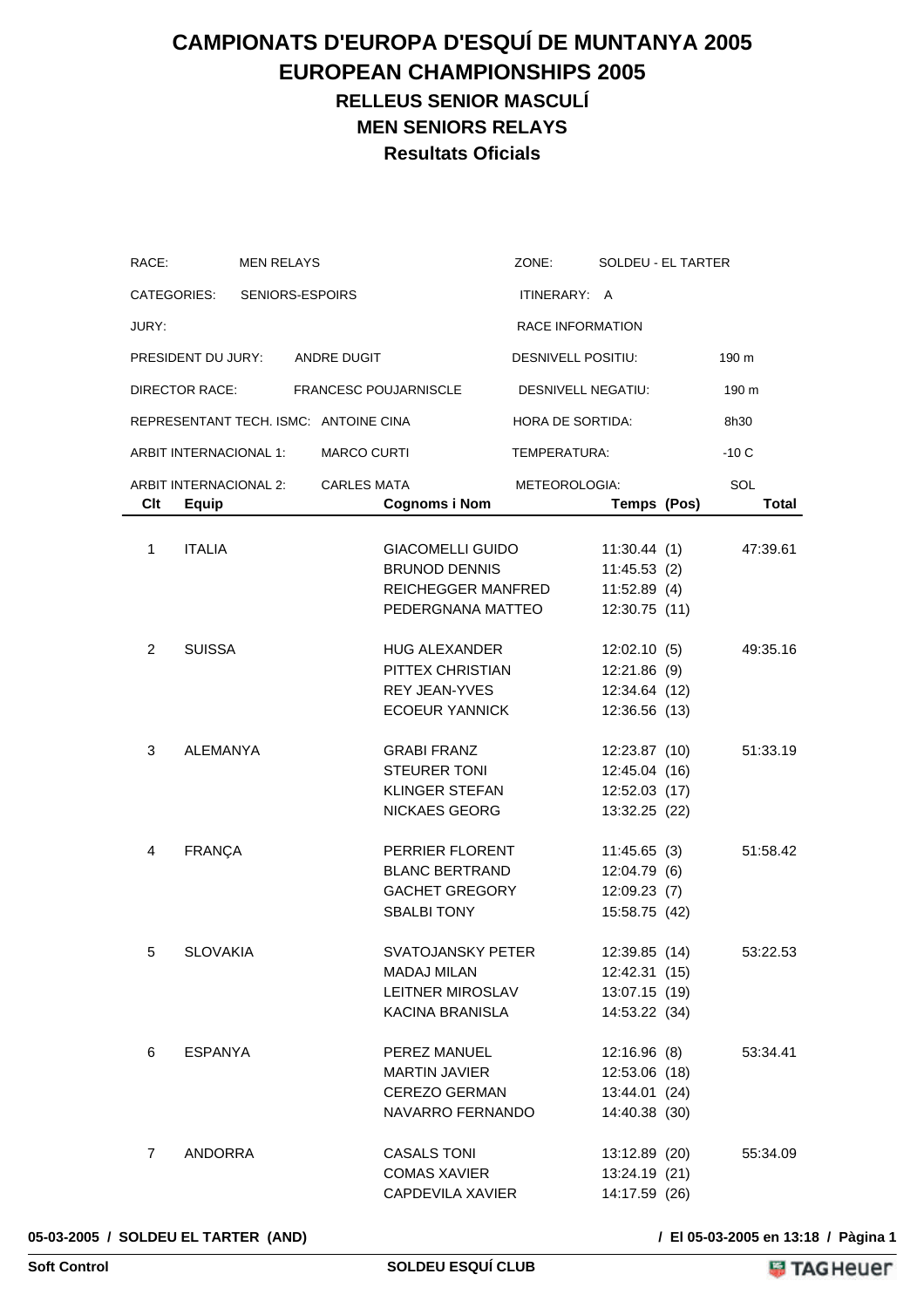### **CAMPIONATS D'EUROPA D'ESQUÍ DE MUNTANYA 2005 EUROPEAN CHAMPIONSHIPS 2005 RELLEUS SENIOR MASCULÍ MEN SENIORS RELAYS Resultats Oficials**

| RACE:          |                                        | <b>MEN RELAYS</b> |                    |                                                                                            | ZONE:                   | SOLDEU - EL TARTER                                               |                     |
|----------------|----------------------------------------|-------------------|--------------------|--------------------------------------------------------------------------------------------|-------------------------|------------------------------------------------------------------|---------------------|
|                | CATEGORIES: SENIORS-ESPOIRS            |                   |                    |                                                                                            | ITINERARY: A            |                                                                  |                     |
| JURY:          |                                        |                   |                    |                                                                                            | <b>RACE INFORMATION</b> |                                                                  |                     |
|                | PRESIDENT DU JURY: ANDRE DUGIT         |                   |                    |                                                                                            | DESNIVELL POSITIU:      |                                                                  | 190 m               |
|                | DIRECTOR RACE:                         |                   |                    | <b>FRANCESC POUJARNISCLE</b>                                                               | DESNIVELL NEGATIU:      |                                                                  | 190 m               |
|                | REPRESENTANT TECH. ISMC: ANTOINE CINA  |                   |                    |                                                                                            | <b>HORA DE SORTIDA:</b> |                                                                  | 8h30                |
|                | ARBIT INTERNACIONAL 1:                 |                   | <b>MARCO CURTI</b> |                                                                                            | TEMPERATURA:            |                                                                  | $-10C$              |
| Clt            | ARBIT INTERNACIONAL 2:<br><b>Equip</b> |                   | <b>CARLES MATA</b> | <b>Cognoms i Nom</b>                                                                       | METEOROLOGIA:           | Temps (Pos)                                                      | SOL<br><b>Total</b> |
| 1              | <b>ITALIA</b>                          |                   |                    | <b>GIACOMELLI GUIDO</b><br><b>BRUNOD DENNIS</b><br>REICHEGGER MANFRED<br>PEDERGNANA MATTEO |                         | 11:30.44(1)<br>11:45.53(2)<br>11:52.89(4)<br>12:30.75 (11)       | 47:39.61            |
| 2              | <b>SUISSA</b>                          |                   |                    | <b>HUG ALEXANDER</b><br>PITTEX CHRISTIAN<br>REY JEAN-YVES<br><b>ECOEUR YANNICK</b>         |                         | 12:02.10(5)<br>12:21.86 (9)<br>12:34.64 (12)<br>12:36.56 (13)    | 49:35.16            |
| 3              | <b>ALEMANYA</b>                        |                   |                    | <b>GRABI FRANZ</b><br><b>STEURER TONI</b><br>KLINGER STEFAN<br><b>NICKAES GEORG</b>        |                         | 12:23.87 (10)<br>12:45.04 (16)<br>12:52.03 (17)<br>13:32.25 (22) | 51:33.19            |
| 4              | <b>FRANÇA</b>                          |                   |                    | PERRIER FLORENT<br><b>BLANC BERTRAND</b><br><b>GACHET GREGORY</b><br><b>SBALBI TONY</b>    |                         | 11:45.65(3)<br>12:04.79(6)<br>12:09.23(7)<br>15:58.75 (42)       | 51:58.42            |
| 5              | <b>SLOVAKIA</b>                        |                   |                    | SVATOJANSKY PETER<br><b>MADAJ MILAN</b><br>LEITNER MIROSLAV<br>KACINA BRANISLA             |                         | 12:39.85 (14)<br>12:42.31 (15)<br>13:07.15 (19)<br>14:53.22 (34) | 53:22.53            |
| 6              | ESPANYA                                |                   |                    | PEREZ MANUEL<br>MARTIN JAVIER<br>CEREZO GERMAN<br>NAVARRO FERNANDO                         |                         | 12:16.96(8)<br>12:53.06 (18)<br>13:44.01 (24)<br>14:40.38 (30)   | 53:34.41            |
| $\overline{7}$ | ANDORRA                                |                   |                    | <b>CASALS TONI</b><br><b>COMAS XAVIER</b><br>CAPDEVILA XAVIER                              |                         | 13:12.89 (20)<br>13:24.19 (21)<br>14:17.59 (26)                  | 55:34.09            |

#### **05-03-2005 / SOLDEU EL TARTER (AND) / El 05-03-2005 en 13:18 / Pàgina 1**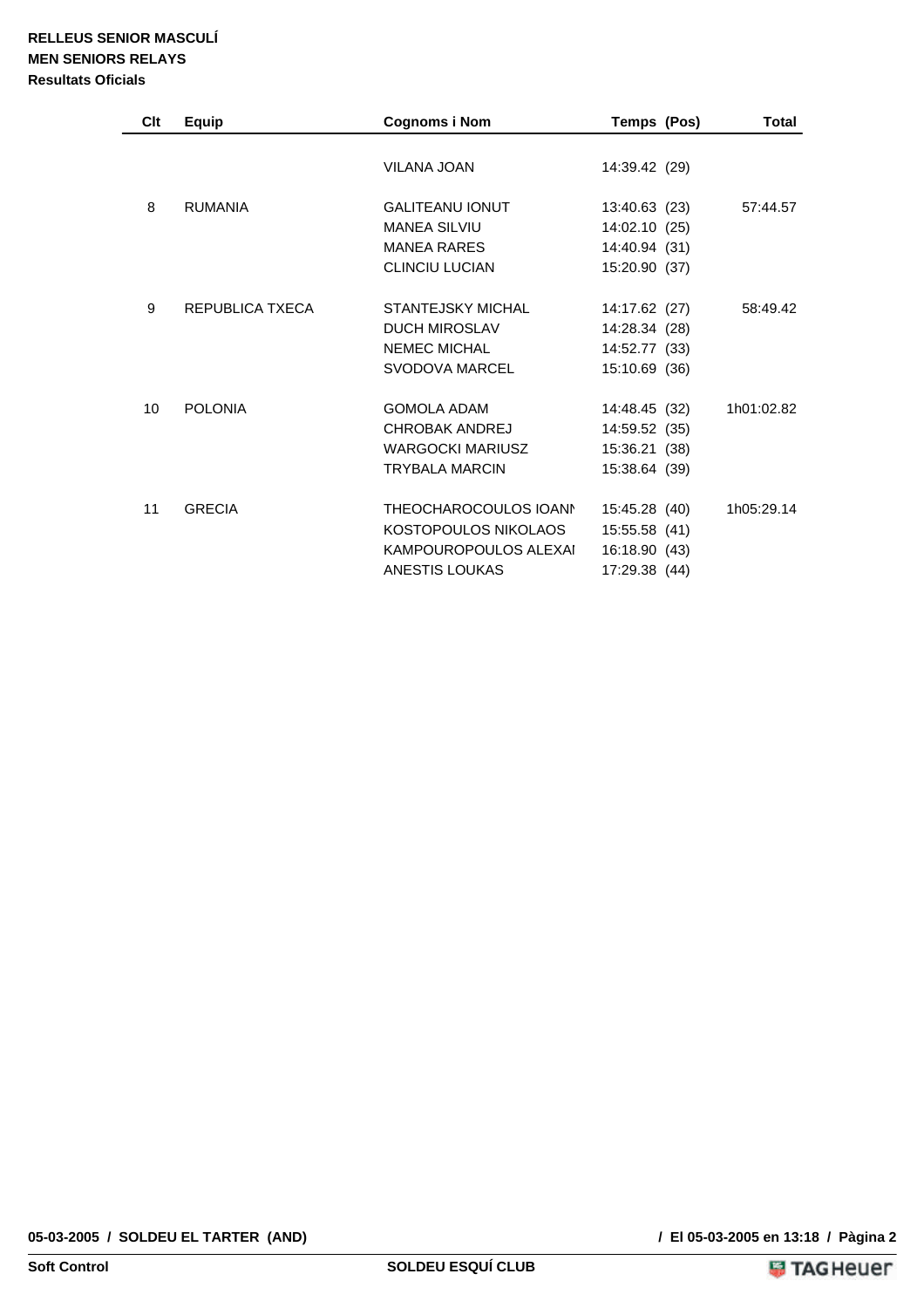| Clt             | Equip           | <b>Cognoms i Nom</b>                                                                            | Temps (Pos)                                                      | Total      |
|-----------------|-----------------|-------------------------------------------------------------------------------------------------|------------------------------------------------------------------|------------|
|                 |                 | <b>VILANA JOAN</b>                                                                              | 14:39.42 (29)                                                    |            |
| 8               | <b>RUMANIA</b>  | <b>GALITEANU IONUT</b><br><b>MANEA SILVIU</b><br><b>MANEA RARES</b><br><b>CLINCIU LUCIAN</b>    | 13:40.63 (23)<br>14:02.10 (25)<br>14:40.94 (31)<br>15:20.90 (37) | 57:44.57   |
| 9               | REPUBLICA TXECA | STANTEJSKY MICHAL<br><b>DUCH MIROSLAV</b><br><b>NEMEC MICHAL</b><br>SVODOVA MARCEL              | 14:17.62 (27)<br>14:28.34 (28)<br>14:52.77 (33)<br>15:10.69 (36) | 58:49.42   |
| 10 <sup>1</sup> | <b>POLONIA</b>  | <b>GOMOLA ADAM</b><br>CHROBAK ANDREJ<br><b>WARGOCKI MARIUSZ</b><br><b>TRYBALA MARCIN</b>        | 14:48.45 (32)<br>14:59.52 (35)<br>15:36.21 (38)<br>15:38.64 (39) | 1h01:02.82 |
| 11              | <b>GRECIA</b>   | THEOCHAROCOULOS IOANN<br>KOSTOPOULOS NIKOLAOS<br>KAMPOUROPOULOS ALEXAI<br><b>ANESTIS LOUKAS</b> | 15:45.28 (40)<br>15:55.58 (41)<br>16:18.90 (43)<br>17:29.38 (44) | 1h05:29.14 |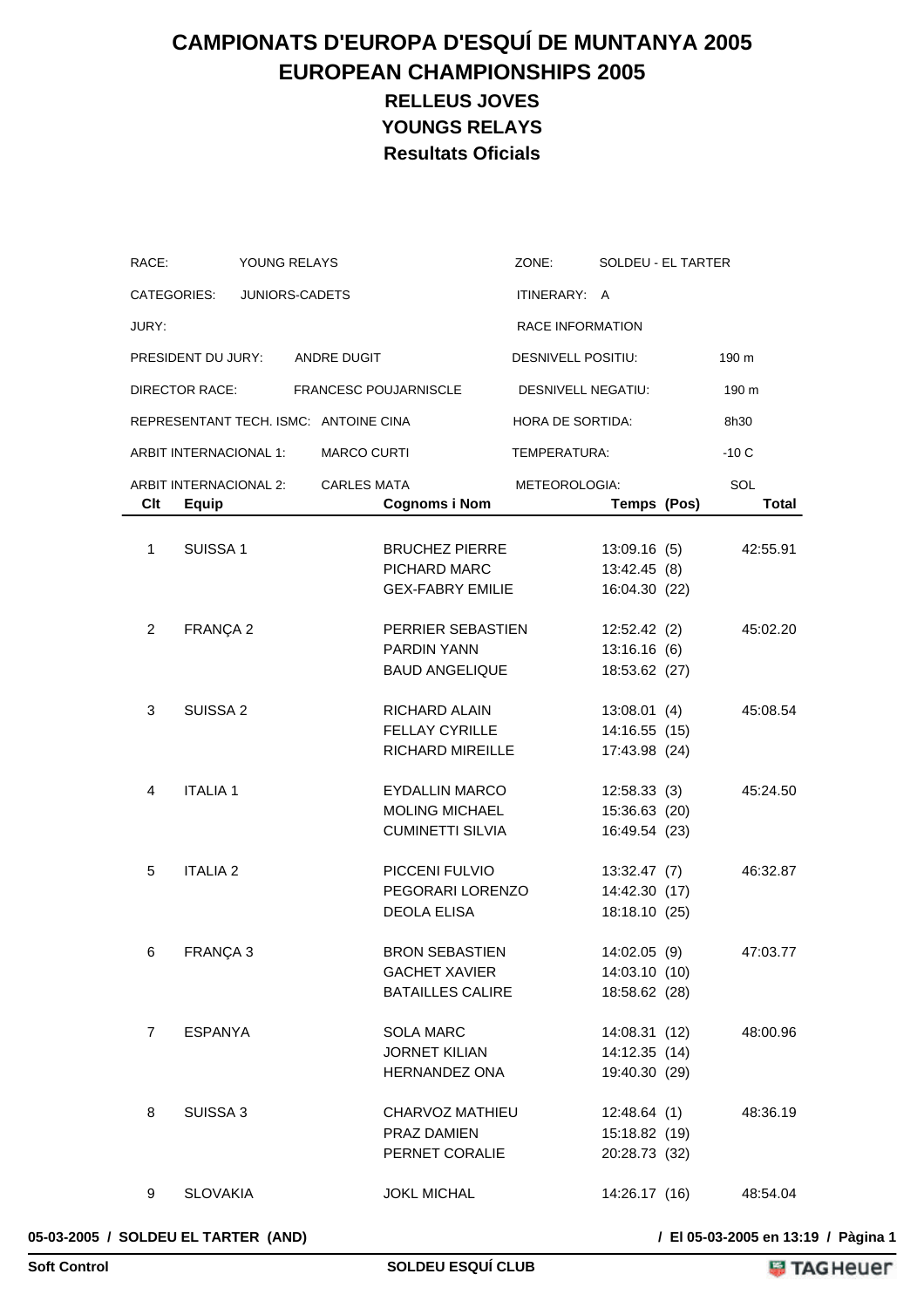# **CAMPIONATS D'EUROPA D'ESQUÍ DE MUNTANYA 2005 EUROPEAN CHAMPIONSHIPS 2005 RELLEUS JOVES YOUNGS RELAYS Resultats Oficials**

| RACE:          |                                        | YOUNG RELAYS   |                                       |                                                                          | ZONE:                   | SOLDEU - EL TARTER                              |                     |
|----------------|----------------------------------------|----------------|---------------------------------------|--------------------------------------------------------------------------|-------------------------|-------------------------------------------------|---------------------|
|                | CATEGORIES:                            | JUNIORS-CADETS |                                       |                                                                          | ITINERARY: A            |                                                 |                     |
| JURY:          |                                        |                |                                       |                                                                          | <b>RACE INFORMATION</b> |                                                 |                     |
|                | PRESIDENT DU JURY:                     |                | ANDRE DUGIT                           |                                                                          | DESNIVELL POSITIU:      |                                                 | 190 m               |
|                | DIRECTOR RACE:                         |                |                                       | <b>FRANCESC POUJARNISCLE</b>                                             | DESNIVELL NEGATIU:      |                                                 | 190 m               |
|                |                                        |                | REPRESENTANT TECH. ISMC: ANTOINE CINA |                                                                          | HORA DE SORTIDA:        |                                                 | 8h30                |
|                | ARBIT INTERNACIONAL 1:                 |                | <b>MARCO CURTI</b>                    |                                                                          | TEMPERATURA:            |                                                 | $-10C$              |
| Clt            | ARBIT INTERNACIONAL 2:<br><b>Equip</b> |                | <b>CARLES MATA</b>                    | <b>Cognoms i Nom</b>                                                     | METEOROLOGIA:           | Temps (Pos)                                     | SOL<br><b>Total</b> |
| 1              | SUISSA <sub>1</sub>                    |                |                                       | <b>BRUCHEZ PIERRE</b><br>PICHARD MARC<br><b>GEX-FABRY EMILIE</b>         |                         | 13:09.16(5)<br>13:42.45 (8)<br>16:04.30 (22)    | 42:55.91            |
| 2              | FRANÇA 2                               |                |                                       | PERRIER SEBASTIEN<br><b>PARDIN YANN</b><br><b>BAUD ANGELIQUE</b>         |                         | 12:52.42(2)<br>13:16.16(6)<br>18:53.62 (27)     | 45:02.20            |
| 3              | SUISSA <sub>2</sub>                    |                |                                       | RICHARD ALAIN<br><b>FELLAY CYRILLE</b><br><b>RICHARD MIREILLE</b>        |                         | 13:08.01(4)<br>14:16.55 (15)<br>17:43.98 (24)   | 45:08.54            |
| 4              | <b>ITALIA1</b>                         |                |                                       | EYDALLIN MARCO<br><b>MOLING MICHAEL</b><br><b>CUMINETTI SILVIA</b>       |                         | 12:58.33(3)<br>15:36.63 (20)<br>16:49.54 (23)   | 45:24.50            |
| 5              | <b>ITALIA 2</b>                        |                |                                       | PICCENI FULVIO<br>PEGORARI LORENZO<br><b>DEOLA ELISA</b>                 |                         | 13:32.47 (7)<br>14:42.30 (17)<br>18:18.10 (25)  | 46:32.87            |
| 6              | FRANÇA 3                               |                |                                       | <b>BRON SEBASTIEN</b><br><b>GACHET XAVIER</b><br><b>BATAILLES CALIRE</b> |                         | 14:02.05 (9)<br>14:03.10 (10)<br>18:58.62 (28)  | 47:03.77            |
| $\overline{7}$ | <b>ESPANYA</b>                         |                |                                       | <b>SOLA MARC</b><br><b>JORNET KILIAN</b><br>HERNANDEZ ONA                |                         | 14:08.31 (12)<br>14:12.35 (14)<br>19:40.30 (29) | 48:00.96            |
| 8              | SUISSA 3                               |                |                                       | CHARVOZ MATHIEU<br>PRAZ DAMIEN<br>PERNET CORALIE                         |                         | 12:48.64 (1)<br>15:18.82 (19)<br>20:28.73 (32)  | 48:36.19            |
| 9              | <b>SLOVAKIA</b>                        |                |                                       | <b>JOKL MICHAL</b>                                                       |                         | 14:26.17 (16)                                   | 48:54.04            |

### **05-03-2005 / SOLDEU EL TARTER (AND) / El 05-03-2005 en 13:19 / Pàgina 1**